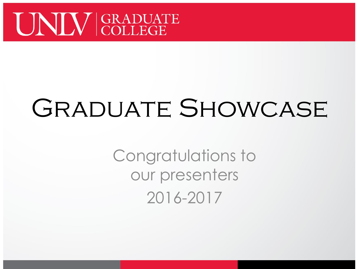

# GRADUATE SHOWCASE

Congratulations to our presenters 2016-2017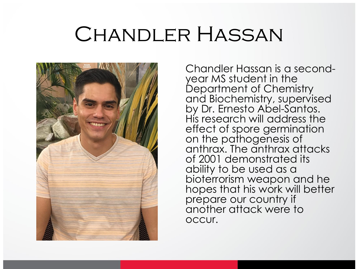### CHANDLER HASSAN



year MS student in the bioterrorism weapon and he Chandler Hassan is a second-Department of Chemistry and Biochemistry, supervised by Dr. Ernesto Abel-Santos. His research will address the effect of spore germination on the pathogenesis of anthrax. The anthrax attacks of 2001 demonstrated its ability to be used as a hopes that his work will better prepare our country if another attack were to occur.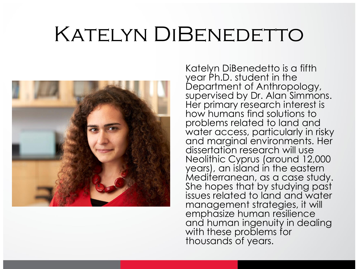## KATELYN DIBENEDETTO



 water access, particularly in risky management strategies, it will Katelyn DiBenedetto is a fifth year Ph.D. student in the Department of Anthropology, supervised by Dr. Alan Simmons. Her primary research interest is how humans find solutions to problems related to land and and marginal environments. Her dissertation research will use Neolithic Cyprus (around 12,000 years), an island in the eastern Mediterranean, as a case study. She hopes that by studying past issues related to land and water emphasize human resilience and human ingenuity in dealing with these problems for thousands of years.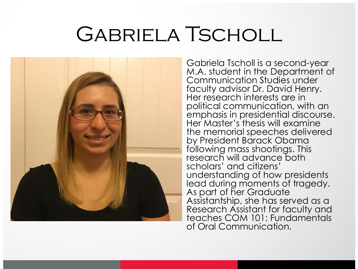## Gabriela Tscholl



 M.A. student in the Department of Her research interests are in the memorial speeches delivered research will advance both Assistantship, she has served as a Gabriela Tscholl is a second-year Communication Studies under faculty advisor Dr. David Henry. political communication, with an emphasis in presidential discourse. Her Master's thesis will examine by President Barack Obama following mass shootings. This scholars' and citizens' understanding of how presidents lead during moments of tragedy. As part of her Graduate Research Assistant for faculty and teaches COM 101: Fundamentals of Oral Communication.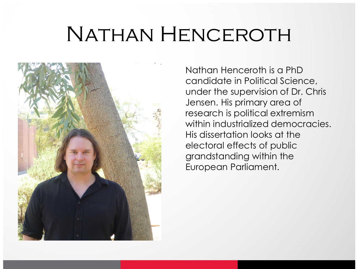## Nathan Henceroth



 candidate in Political Science, His dissertation looks at the Nathan Henceroth is a PhD under the supervision of Dr. Chris Jensen. His primary area of research is political extremism within industrialized democracies. electoral effects of public grandstanding within the European Parliament.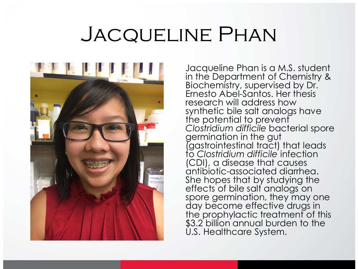## Jacqueline Phan



 Jacqueline Phan is a M.S. student Biochemistry, supervised by Dr. in the Department of Chemistry & Ernesto Abel-Santos. Her thesis research will address how synthetic bile salt analogs have the potential to prevent *Clostridium difficile* bacterial spore germination in the gut (gastrointestinal tract) that leads to *Clostridium difficile* infection (CDI), a disease that causes antibiotic-associated diarrhea. She hopes that by studying the effects of bile salt analogs on spore germination, they may one day become effective drugs in the prophylactic treatment of this \$3.2 billion annual burden to the U.S. Healthcare System.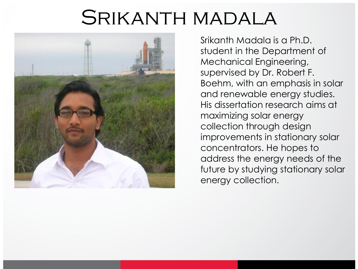#### Srikanth madala



 student in the Department of supervised by Dr. Robert F. Boehm, with an emphasis in solar and renewable energy studies. His dissertation research aims at collection through design improvements in stationary solar concentrators. He hopes to address the energy needs of the Srikanth Madala is a Ph.D. Mechanical Engineering, maximizing solar energy future by studying stationary solar energy collection.